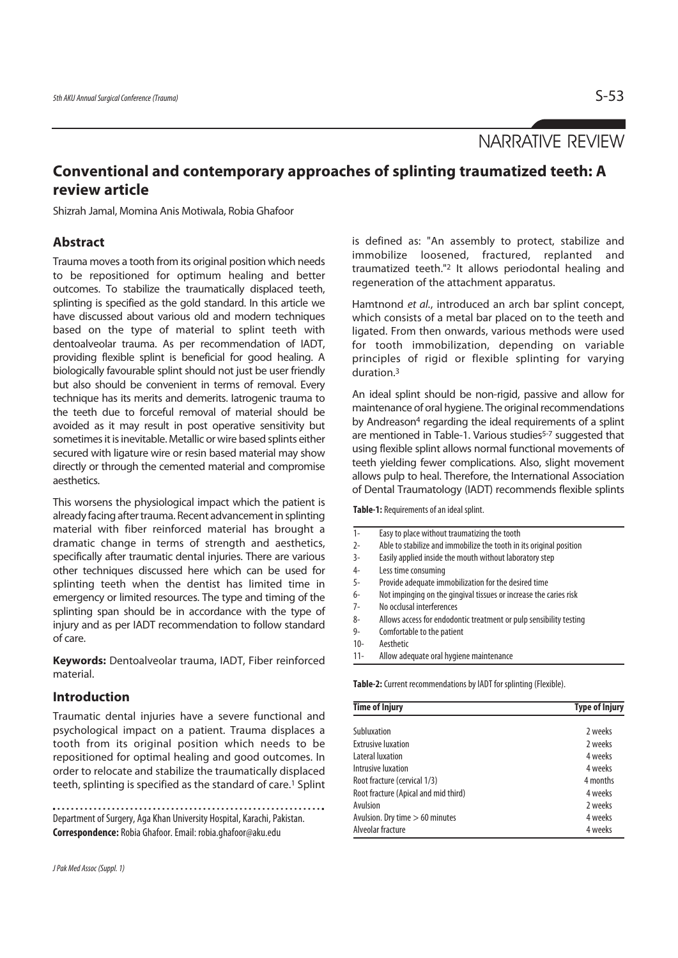NARRATIVE REVIEW

# **Conventional and contemporary approaches of splinting traumatized teeth: A review article**

Shizrah Jamal, Momina Anis Motiwala, Robia Ghafoor

# **Abstract**

Trauma moves a tooth from its original position which needs to be repositioned for optimum healing and better outcomes. To stabilize the traumatically displaced teeth, splinting is specified as the gold standard. In this article we have discussed about various old and modern techniques based on the type of material to splint teeth with dentoalveolar trauma. As per recommendation of IADT, providing flexible splint is beneficial for good healing. A biologically favourable splint should not just be user friendly but also should be convenient in terms of removal. Every technique has its merits and demerits. Iatrogenic trauma to the teeth due to forceful removal of material should be avoided as it may result in post operative sensitivity but sometimes it is inevitable. Metallic or wire based splints either secured with ligature wire or resin based material may show directly or through the cemented material and compromise aesthetics.

This worsens the physiological impact which the patient is already facing after trauma. Recent advancement in splinting material with fiber reinforced material has brought a dramatic change in terms of strength and aesthetics, specifically after traumatic dental injuries. There are various other techniques discussed here which can be used for splinting teeth when the dentist has limited time in emergency or limited resources. The type and timing of the splinting span should be in accordance with the type of injury and as per IADT recommendation to follow standard of care.

**Keywords:** Dentoalveolar trauma, IADT, Fiber reinforced material.

# **Introduction**

Traumatic dental injuries have a severe functional and psychological impact on a patient. Trauma displaces a tooth from its original position which needs to be repositioned for optimal healing and good outcomes. In order to relocate and stabilize the traumatically displaced teeth, splinting is specified as the standard of care.<sup>1</sup> Splint

Department of Surgery, Aga Khan University Hospital, Karachi, Pakistan. **Correspondence:** Robia Ghafoor. Email: robia.ghafoor@aku.edu

is defined as: "An assembly to protect, stabilize and immobilize loosened, fractured, replanted and traumatized teeth."2 It allows periodontal healing and regeneration of the attachment apparatus.

Hamtnond et al., introduced an arch bar splint concept, which consists of a metal bar placed on to the teeth and ligated. From then onwards, various methods were used for tooth immobilization, depending on variable principles of rigid or flexible splinting for varying duration.3

An ideal splint should be non-rigid, passive and allow for maintenance of oral hygiene. The original recommendations by Andreason<sup>4</sup> regarding the ideal requirements of a splint are mentioned in Table-1. Various studies<sup>5-7</sup> suggested that using flexible splint allows normal functional movements of teeth yielding fewer complications. Also, slight movement allows pulp to heal. Therefore, the International Association of Dental Traumatology (IADT) recommends flexible splints

**Table-1:** Requirements of an ideal splint.

| $1-$   | Easy to place without traumatizing the tooth                              |  |  |
|--------|---------------------------------------------------------------------------|--|--|
| $2-$   | Able to stabilize and immobilize the tooth in its original position       |  |  |
| 3-     | Easily applied inside the mouth without laboratory step                   |  |  |
| 4-     | Less time consuming                                                       |  |  |
| 5-     | Provide adequate immobilization for the desired time                      |  |  |
| 6-     | Not impinging on the gingival tissues or increase the caries risk         |  |  |
| 7-     | No occlusal interferences                                                 |  |  |
| 8-     | Allows access for endodontic treatment or pulp sensibility testing        |  |  |
| 9-     | Comfortable to the patient                                                |  |  |
| $10 -$ | Aesthetic                                                                 |  |  |
| $11 -$ | Allow adequate oral hygiene maintenance                                   |  |  |
|        | <b>Table-2:</b> Current recommendations by IADT for splinting (Flexible). |  |  |
|        | <b>Time of Injury</b><br><b>Type of Injury</b>                            |  |  |
|        | Subluxation<br>2 weeks                                                    |  |  |
|        | <b>Extrusive luxation</b><br>2 weeks                                      |  |  |

| <b>Subluxation</b>                   | 2 weeks  |
|--------------------------------------|----------|
| <b>Extrusive luxation</b>            | 2 weeks  |
| Lateral luxation                     | 4 weeks  |
| Intrusive luxation                   | 4 weeks  |
| Root fracture (cervical 1/3)         | 4 months |
| Root fracture (Apical and mid third) | 4 weeks  |
| Avulsion                             | 2 weeks  |
| Avulsion. Dry time > 60 minutes      | 4 weeks  |
| Alveolar fracture                    | 4 weeks  |
|                                      |          |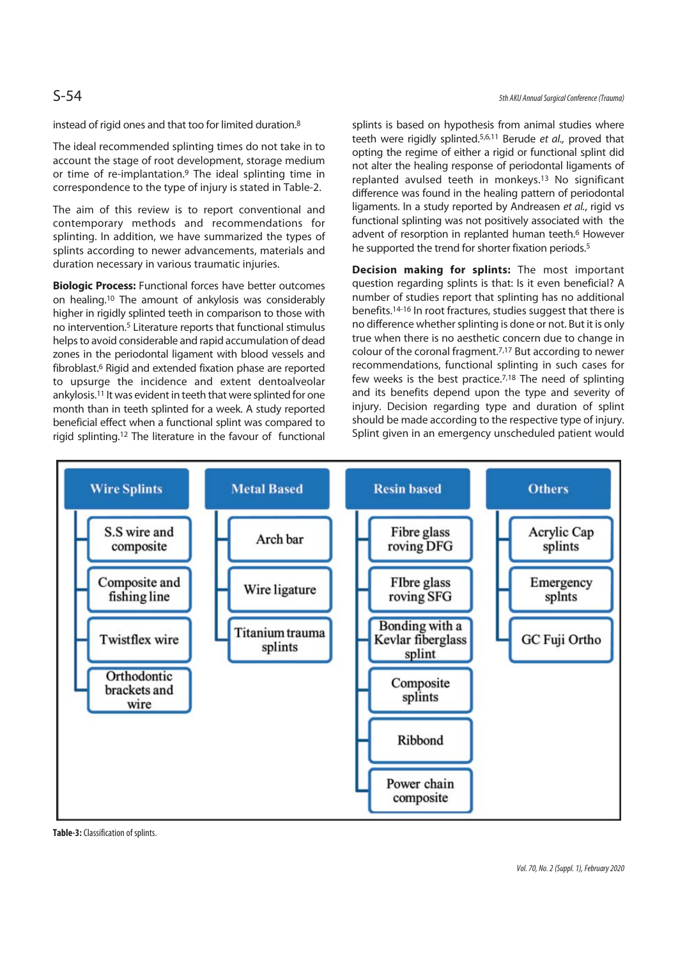instead of rigid ones and that too for limited duration.8

The ideal recommended splinting times do not take in to account the stage of root development, storage medium or time of re-implantation.9 The ideal splinting time in correspondence to the type of injury is stated in Table-2.

The aim of this review is to report conventional and contemporary methods and recommendations for splinting. In addition, we have summarized the types of splints according to newer advancements, materials and duration necessary in various traumatic injuries.

**Biologic Process:** Functional forces have better outcomes on healing.10 The amount of ankylosis was considerably higher in rigidly splinted teeth in comparison to those with no intervention.5 Literature reports that functional stimulus helps to avoid considerable and rapid accumulation of dead zones in the periodontal ligament with blood vessels and fibroblast.6 Rigid and extended fixation phase are reported to upsurge the incidence and extent dentoalveolar ankylosis.11 It was evident in teeth that were splinted for one month than in teeth splinted for a week. A study reported beneficial effect when a functional splint was compared to rigid splinting.12 The literature in the favour of functional

splints is based on hypothesis from animal studies where teeth were rigidly splinted.<sup>5,6,11</sup> Berude et al., proved that opting the regime of either a rigid or functional splint did not alter the healing response of periodontal ligaments of replanted avulsed teeth in monkeys.13 No significant difference was found in the healing pattern of periodontal ligaments. In a study reported by Andreasen et al., rigid vs functional splinting was not positively associated with the advent of resorption in replanted human teeth.<sup>6</sup> However he supported the trend for shorter fixation periods.<sup>5</sup>

**Decision making for splints:** The most important question regarding splints is that: Is it even beneficial? A number of studies report that splinting has no additional benefits.14-16 In root fractures, studies suggest that there is no difference whether splinting is done or not. But it is only true when there is no aesthetic concern due to change in colour of the coronal fragment.7,17 But according to newer recommendations, functional splinting in such cases for few weeks is the best practice.<sup>7,18</sup> The need of splinting and its benefits depend upon the type and severity of injury. Decision regarding type and duration of splint should be made according to the respective type of injury. Splint given in an emergency unscheduled patient would



**Table-3:** Classification of splints.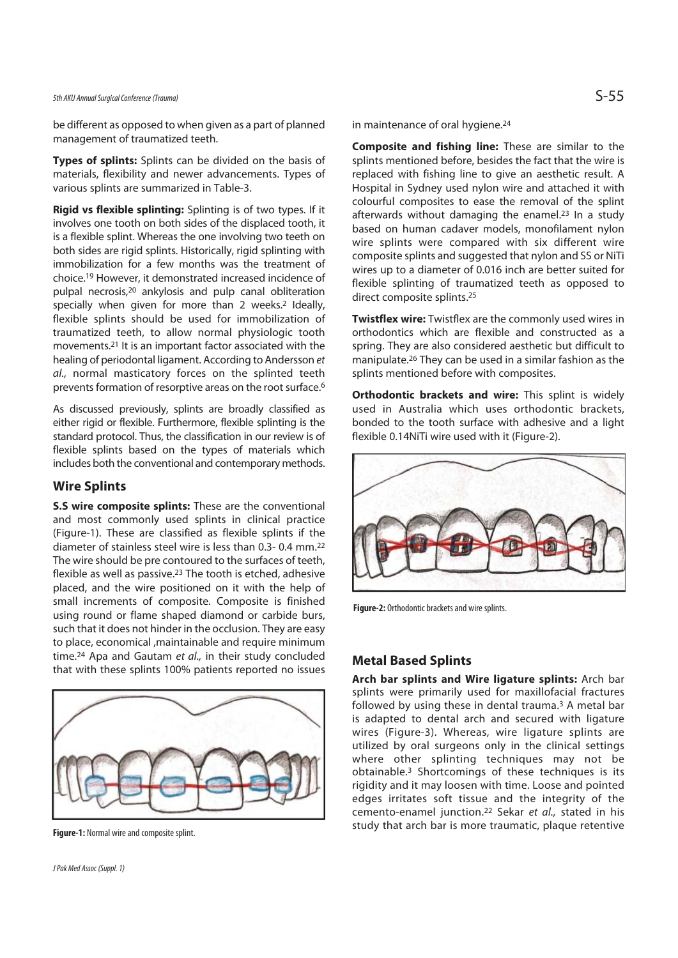# 5th AKU Annual Surgical Conference (Trauma)  $S$  - 55 $S$

be different as opposed to when given as a part of planned management of traumatized teeth.

**Types of splints:** Splints can be divided on the basis of materials, flexibility and newer advancements. Types of various splints are summarized in Table-3.

**Rigid vs flexible splinting:** Splinting is of two types. If it involves one tooth on both sides of the displaced tooth, it is a flexible splint. Whereas the one involving two teeth on both sides are rigid splints. Historically, rigid splinting with immobilization for a few months was the treatment of choice.19 However, it demonstrated increased incidence of pulpal necrosis,20 ankylosis and pulp canal obliteration specially when given for more than 2 weeks.<sup>2</sup> Ideally, flexible splints should be used for immobilization of traumatized teeth, to allow normal physiologic tooth movements.21 It is an important factor associated with the healing of periodontal ligament. According to Andersson et al., normal masticatory forces on the splinted teeth prevents formation of resorptive areas on the root surface.6

As discussed previously, splints are broadly classified as either rigid or flexible. Furthermore, flexible splinting is the standard protocol. Thus, the classification in our review is of flexible splints based on the types of materials which includes both the conventional and contemporary methods.

## **Wire Splints**

**S.S wire composite splints:** These are the conventional and most commonly used splints in clinical practice (Figure-1). These are classified as flexible splints if the diameter of stainless steel wire is less than 0.3- 0.4 mm.22 The wire should be pre contoured to the surfaces of teeth, flexible as well as passive.23 The tooth is etched, adhesive placed, and the wire positioned on it with the help of small increments of composite. Composite is finished using round or flame shaped diamond or carbide burs, such that it does not hinder in the occlusion. They are easy to place, economical ,maintainable and require minimum time.<sup>24</sup> Apa and Gautam et al., in their study concluded that with these splints 100% patients reported no issues



**Figure-1:** Normal wire and composite splint.

in maintenance of oral hygiene.<sup>24</sup>

**Composite and fishing line:** These are similar to the splints mentioned before, besides the fact that the wire is replaced with fishing line to give an aesthetic result. A Hospital in Sydney used nylon wire and attached it with colourful composites to ease the removal of the splint afterwards without damaging the enamel.<sup>23</sup> In a study based on human cadaver models, monofilament nylon wire splints were compared with six different wire composite splints and suggested that nylon and SS or NiTi wires up to a diameter of 0.016 inch are better suited for flexible splinting of traumatized teeth as opposed to direct composite splints.25

**Twistflex wire:** Twistflex are the commonly used wires in orthodontics which are flexible and constructed as a spring. They are also considered aesthetic but difficult to manipulate.26 They can be used in a similar fashion as the splints mentioned before with composites.

**Orthodontic brackets and wire:** This splint is widely used in Australia which uses orthodontic brackets, bonded to the tooth surface with adhesive and a light flexible 0.14NiTi wire used with it (Figure-2).



**Figure-2:** Orthodontic brackets and wire splints.

# **Metal Based Splints**

**Arch bar splints and Wire ligature splints:** Arch bar splints were primarily used for maxillofacial fractures followed by using these in dental trauma.3 A metal bar is adapted to dental arch and secured with ligature wires (Figure-3). Whereas, wire ligature splints are utilized by oral surgeons only in the clinical settings where other splinting techniques may not be obtainable.3 Shortcomings of these techniques is its rigidity and it may loosen with time. Loose and pointed edges irritates soft tissue and the integrity of the cemento-enamel junction.<sup>22</sup> Sekar et al., stated in his study that arch bar is more traumatic, plaque retentive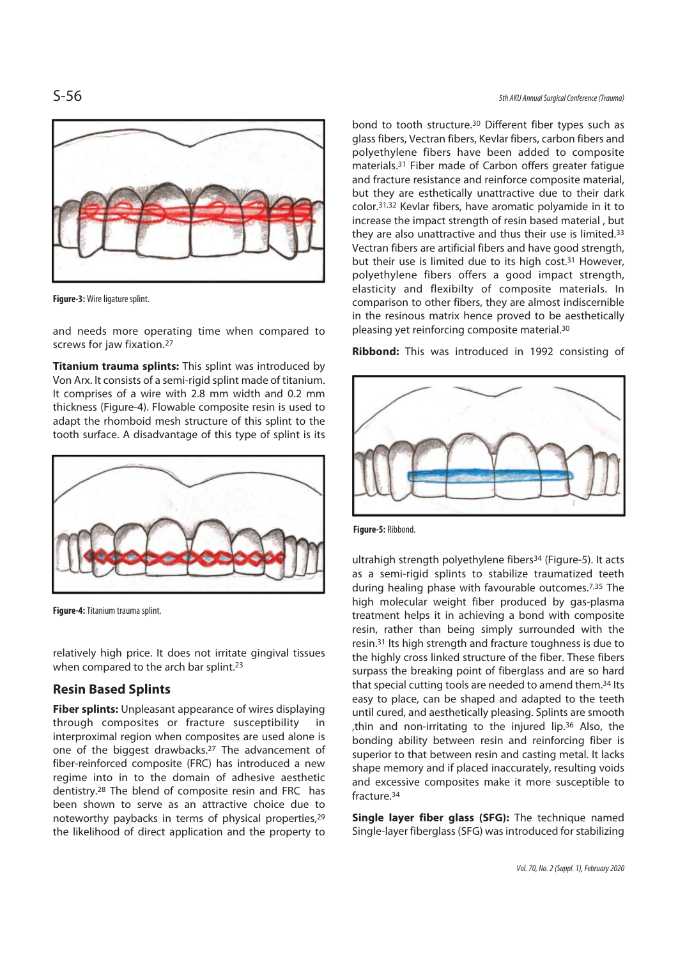

**Figure-3:** Wire ligature splint.

and needs more operating time when compared to screws for jaw fixation.<sup>27</sup>

**Titanium trauma splints:** This splint was introduced by Von Arx. It consists of a semi-rigid splint made of titanium. It comprises of a wire with 2.8 mm width and 0.2 mm thickness (Figure-4). Flowable composite resin is used to adapt the rhomboid mesh structure of this splint to the tooth surface. A disadvantage of this type of splint is its



**Figure-4:** Titanium trauma splint.

relatively high price. It does not irritate gingival tissues when compared to the arch bar splint.<sup>23</sup>

# **Resin Based Splints**

**Fiber splints:** Unpleasant appearance of wires displaying through composites or fracture susceptibility in interproximal region when composites are used alone is one of the biggest drawbacks.27 The advancement of fiber-reinforced composite (FRC) has introduced a new regime into in to the domain of adhesive aesthetic dentistry.28 The blend of composite resin and FRC has been shown to serve as an attractive choice due to noteworthy paybacks in terms of physical properties,<sup>29</sup> the likelihood of direct application and the property to

S-56 5th AKU Annual Surgical Conference (Trauma)

bond to tooth structure.30 Different fiber types such as glass fibers, Vectran fibers, Kevlar fibers, carbon fibers and polyethylene fibers have been added to composite materials.31 Fiber made of Carbon offers greater fatigue and fracture resistance and reinforce composite material, but they are esthetically unattractive due to their dark color.31,32 Kevlar fibers, have aromatic polyamide in it to increase the impact strength of resin based material , but they are also unattractive and thus their use is limited.33 Vectran fibers are artificial fibers and have good strength, but their use is limited due to its high cost.31 However, polyethylene fibers offers a good impact strength, elasticity and flexibilty of composite materials. In comparison to other fibers, they are almost indiscernible in the resinous matrix hence proved to be aesthetically pleasing yet reinforcing composite material.30

**Ribbond:** This was introduced in 1992 consisting of



**Figure-5:** Ribbond.

ultrahigh strength polyethylene fibers<sup>34</sup> (Figure-5). It acts as a semi-rigid splints to stabilize traumatized teeth during healing phase with favourable outcomes.7,35 The high molecular weight fiber produced by gas-plasma treatment helps it in achieving a bond with composite resin, rather than being simply surrounded with the resin.31 Its high strength and fracture toughness is due to the highly cross linked structure of the fiber. These fibers surpass the breaking point of fiberglass and are so hard that special cutting tools are needed to amend them.34 Its easy to place, can be shaped and adapted to the teeth until cured, and aesthetically pleasing. Splints are smooth ,thin and non-irritating to the injured lip.36 Also, the bonding ability between resin and reinforcing fiber is superior to that between resin and casting metal. It lacks shape memory and if placed inaccurately, resulting voids and excessive composites make it more susceptible to fracture.34

**Single layer fiber glass (SFG):** The technique named Single-layer fiberglass (SFG) was introduced for stabilizing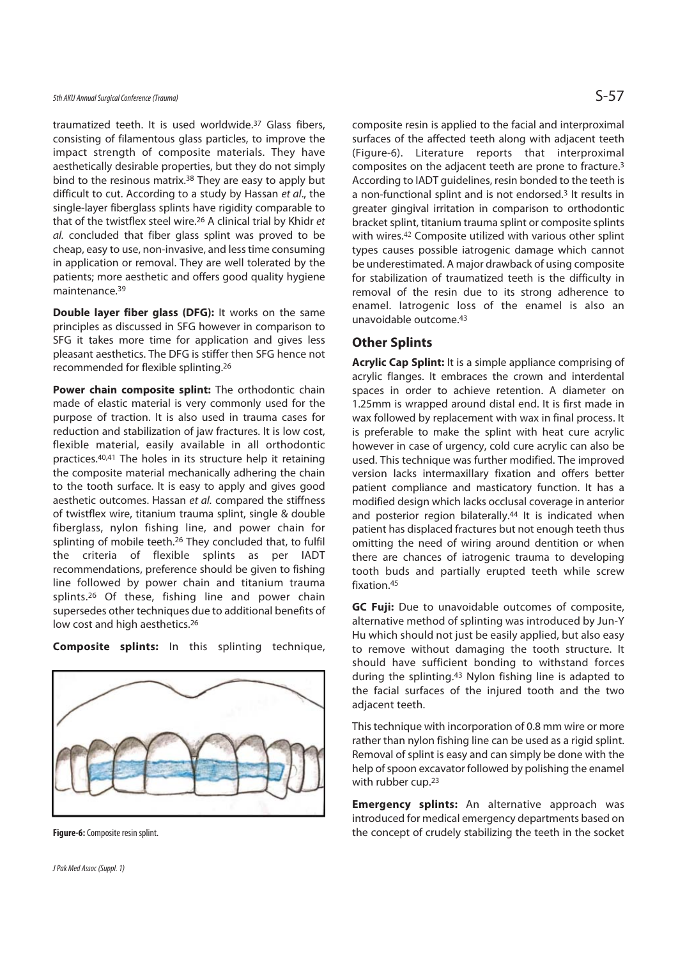traumatized teeth. It is used worldwide.37 Glass fibers, consisting of filamentous glass particles, to improve the impact strength of composite materials. They have aesthetically desirable properties, but they do not simply bind to the resinous matrix.38 They are easy to apply but difficult to cut. According to a study by Hassan et al., the single-layer fiberglass splints have rigidity comparable to that of the twistflex steel wire.26 A clinical trial by Khidr et al. concluded that fiber glass splint was proved to be cheap, easy to use, non-invasive, and less time consuming in application or removal. They are well tolerated by the patients; more aesthetic and offers good quality hygiene maintenance.39

**Double layer fiber glass (DFG):** It works on the same principles as discussed in SFG however in comparison to SFG it takes more time for application and gives less pleasant aesthetics. The DFG is stiffer then SFG hence not recommended for flexible splinting.26

**Power chain composite splint:** The orthodontic chain made of elastic material is very commonly used for the purpose of traction. It is also used in trauma cases for reduction and stabilization of jaw fractures. It is low cost, flexible material, easily available in all orthodontic practices.40,41 The holes in its structure help it retaining the composite material mechanically adhering the chain to the tooth surface. It is easy to apply and gives good aesthetic outcomes. Hassan et al. compared the stiffness of twistflex wire, titanium trauma splint, single & double fiberglass, nylon fishing line, and power chain for splinting of mobile teeth.26 They concluded that, to fulfil the criteria of flexible splints as per IADT recommendations, preference should be given to fishing line followed by power chain and titanium trauma splints.<sup>26</sup> Of these, fishing line and power chain supersedes other techniques due to additional benefits of low cost and high aesthetics.26

**Composite splints:** In this splinting technique,



**Figure-6:** Composite resin splint.

composite resin is applied to the facial and interproximal surfaces of the affected teeth along with adjacent teeth (Figure-6). Literature reports that interproximal composites on the adjacent teeth are prone to fracture.3 According to IADT guidelines, resin bonded to the teeth is a non-functional splint and is not endorsed.3 It results in greater gingival irritation in comparison to orthodontic bracket splint, titanium trauma splint or composite splints with wires.<sup>42</sup> Composite utilized with various other splint types causes possible iatrogenic damage which cannot be underestimated. A major drawback of using composite for stabilization of traumatized teeth is the difficulty in removal of the resin due to its strong adherence to enamel. Iatrogenic loss of the enamel is also an unavoidable outcome.43

# **Other Splints**

**Acrylic Cap Splint:** It is a simple appliance comprising of acrylic flanges. It embraces the crown and interdental spaces in order to achieve retention. A diameter on 1.25mm is wrapped around distal end. It is first made in wax followed by replacement with wax in final process. It is preferable to make the splint with heat cure acrylic however in case of urgency, cold cure acrylic can also be used. This technique was further modified. The improved version lacks intermaxillary fixation and offers better patient compliance and masticatory function. It has a modified design which lacks occlusal coverage in anterior and posterior region bilaterally.<sup>44</sup> It is indicated when patient has displaced fractures but not enough teeth thus omitting the need of wiring around dentition or when there are chances of iatrogenic trauma to developing tooth buds and partially erupted teeth while screw fixation.45

**GC Fuji:** Due to unavoidable outcomes of composite, alternative method of splinting was introduced by Jun-Y Hu which should not just be easily applied, but also easy to remove without damaging the tooth structure. It should have sufficient bonding to withstand forces during the splinting.43 Nylon fishing line is adapted to the facial surfaces of the injured tooth and the two adiacent teeth.

This technique with incorporation of 0.8 mm wire or more rather than nylon fishing line can be used as a rigid splint. Removal of splint is easy and can simply be done with the help of spoon excavator followed by polishing the enamel with rubber cup.23

**Emergency splints:** An alternative approach was introduced for medical emergency departments based on the concept of crudely stabilizing the teeth in the socket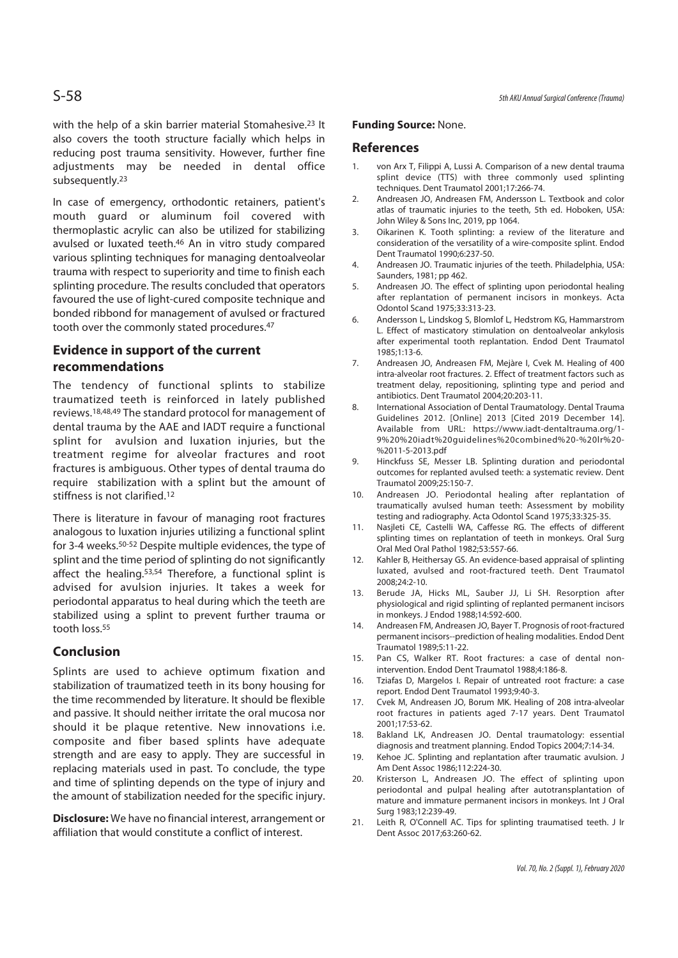with the help of a skin barrier material Stomahesive.<sup>23</sup> It also covers the tooth structure facially which helps in reducing post trauma sensitivity. However, further fine adjustments may be needed in dental office subsequently.23

In case of emergency, orthodontic retainers, patient's mouth guard or aluminum foil covered with thermoplastic acrylic can also be utilized for stabilizing avulsed or luxated teeth.46 An in vitro study compared various splinting techniques for managing dentoalveolar trauma with respect to superiority and time to finish each splinting procedure. The results concluded that operators favoured the use of light-cured composite technique and bonded ribbond for management of avulsed or fractured tooth over the commonly stated procedures.47

# **Evidence in support of the current recommendations**

The tendency of functional splints to stabilize traumatized teeth is reinforced in lately published reviews.18,48,49 The standard protocol for management of dental trauma by the AAE and IADT require a functional splint for avulsion and luxation injuries, but the treatment regime for alveolar fractures and root fractures is ambiguous. Other types of dental trauma do require stabilization with a splint but the amount of stiffness is not clarified.12

There is literature in favour of managing root fractures analogous to luxation injuries utilizing a functional splint for 3-4 weeks.50-52 Despite multiple evidences, the type of splint and the time period of splinting do not significantly affect the healing.53,54 Therefore, a functional splint is advised for avulsion injuries. It takes a week for periodontal apparatus to heal during which the teeth are stabilized using a splint to prevent further trauma or tooth loss.<sup>55</sup>

# **Conclusion**

Splints are used to achieve optimum fixation and stabilization of traumatized teeth in its bony housing for the time recommended by literature. It should be flexible and passive. It should neither irritate the oral mucosa nor should it be plaque retentive. New innovations i.e. composite and fiber based splints have adequate strength and are easy to apply. They are successful in replacing materials used in past. To conclude, the type and time of splinting depends on the type of injury and the amount of stabilization needed for the specific injury.

**Disclosure:** We have no financial interest, arrangement or affiliation that would constitute a conflict of interest.

#### **Funding Source:** None.

### **References**

- 1. von Arx T, Filippi A, Lussi A. Comparison of a new dental trauma splint device (TTS) with three commonly used splinting techniques. Dent Traumatol 2001;17:266-74.
- 2. Andreasen JO, Andreasen FM, Andersson L. Textbook and color atlas of traumatic injuries to the teeth, 5th ed. Hoboken, USA: John Wiley & Sons Inc, 2019, pp 1064.
- 3. Oikarinen K. Tooth splinting: a review of the literature and consideration of the versatility of a wire-composite splint. Endod Dent Traumatol 1990;6:237-50.
- 4. Andreasen JO. Traumatic injuries of the teeth. Philadelphia, USA: Saunders, 1981; pp 462.
- 5. Andreasen JO. The effect of splinting upon periodontal healing after replantation of permanent incisors in monkeys. Acta Odontol Scand 1975;33:313-23.
- 6. Andersson L, Lindskog S, Blomlof L, Hedstrom KG, Hammarstrom L. Effect of masticatory stimulation on dentoalveolar ankylosis after experimental tooth replantation. Endod Dent Traumatol 1985;1:13-6.
- 7. Andreasen JO, Andreasen FM, Mejàre I, Cvek M. Healing of 400 intra-alveolar root fractures. 2. Effect of treatment factors such as treatment delay, repositioning, splinting type and period and antibiotics. Dent Traumatol 2004;20:203-11.
- 8. International Association of Dental Traumatology. Dental Trauma Guidelines 2012. [Online] 2013 [Cited 2019 December 14]. Available from URL: https://www.iadt-dentaltrauma.org/1- 9%20%20iadt%20guidelines%20combined%20-%20lr%20- %2011-5-2013.pdf
- 9. Hinckfuss SE, Messer LB. Splinting duration and periodontal outcomes for replanted avulsed teeth: a systematic review. Dent Traumatol 2009;25:150-7.
- 10. Andreasen JO. Periodontal healing after replantation of traumatically avulsed human teeth: Assessment by mobility testing and radiography. Acta Odontol Scand 1975;33:325-35.
- 11. Nasjleti CE, Castelli WA, Caffesse RG. The effects of different splinting times on replantation of teeth in monkeys. Oral Surg Oral Med Oral Pathol 1982;53:557-66.
- 12. Kahler B, Heithersay GS. An evidence-based appraisal of splinting luxated, avulsed and root-fractured teeth. Dent Traumatol 2008;24:2-10.
- 13. Berude JA, Hicks ML, Sauber JJ, Li SH. Resorption after physiological and rigid splinting of replanted permanent incisors in monkeys. J Endod 1988;14:592-600.
- 14. Andreasen FM, Andreasen JO, Bayer T. Prognosis of root-fractured permanent incisors--prediction of healing modalities. Endod Dent Traumatol 1989;5:11-22.
- 15. Pan CS, Walker RT. Root fractures: a case of dental nonintervention. Endod Dent Traumatol 1988;4:186-8.
- 16. Tziafas D, Margelos I. Repair of untreated root fracture: a case report. Endod Dent Traumatol 1993;9:40-3.
- 17. Cvek M, Andreasen JO, Borum MK. Healing of 208 intra-alveolar root fractures in patients aged 7-17 years. Dent Traumatol 2001;17:53-62.
- 18. Bakland LK, Andreasen JO. Dental traumatology: essential diagnosis and treatment planning. Endod Topics 2004;7:14-34.
- 19. Kehoe JC. Splinting and replantation after traumatic avulsion. J Am Dent Assoc 1986;112:224-30.
- 20. Kristerson L, Andreasen JO. The effect of splinting upon periodontal and pulpal healing after autotransplantation of mature and immature permanent incisors in monkeys. Int J Oral Surg 1983;12:239-49.
- 21. Leith R, O'Connell AC. Tips for splinting traumatised teeth. J Ir Dent Assoc 2017;63:260-62.